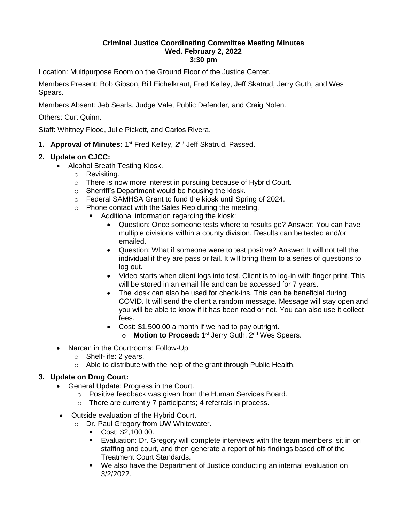## **Criminal Justice Coordinating Committee Meeting Minutes Wed. February 2, 2022 3:30 pm**

Location: Multipurpose Room on the Ground Floor of the Justice Center.

Members Present: Bob Gibson, Bill Eichelkraut, Fred Kelley, Jeff Skatrud, Jerry Guth, and Wes Spears.

Members Absent: Jeb Searls, Judge Vale, Public Defender, and Craig Nolen.

Others: Curt Quinn.

Staff: Whitney Flood, Julie Pickett, and Carlos Rivera.

1. Approval of Minutes: 1<sup>st</sup> Fred Kelley, 2<sup>nd</sup> Jeff Skatrud. Passed.

## **2. Update on CJCC:**

- Alcohol Breath Testing Kiosk.
	- o Revisiting.
	- o There is now more interest in pursuing because of Hybrid Court.
	- o Sherriff's Department would be housing the kiosk.
	- o Federal SAMHSA Grant to fund the kiosk until Spring of 2024.
	- o Phone contact with the Sales Rep during the meeting.
		- Additional information regarding the kiosk:
			- Question: Once someone tests where to results go? Answer: You can have multiple divisions within a county division. Results can be texted and/or emailed.
			- Question: What if someone were to test positive? Answer: It will not tell the individual if they are pass or fail. It will bring them to a series of questions to log out.
			- Video starts when client logs into test. Client is to log-in with finger print. This will be stored in an email file and can be accessed for 7 years.
			- The kiosk can also be used for check-ins. This can be beneficial during COVID. It will send the client a random message. Message will stay open and you will be able to know if it has been read or not. You can also use it collect fees.
			- Cost: \$1,500.00 a month if we had to pay outright. o **Motion to Proceed:** 1<sup>st</sup> Jerry Guth, 2<sup>nd</sup> Wes Speers.
- Narcan in the Courtrooms: Follow-Up.
	- o Shelf-life: 2 years.
	- o Able to distribute with the help of the grant through Public Health.

## **3. Update on Drug Court:**

- General Update: Progress in the Court.
	- o Positive feedback was given from the Human Services Board.
	- o There are currently 7 participants; 4 referrals in process.
- Outside evaluation of the Hybrid Court.
	- o Dr. Paul Gregory from UW Whitewater.
		- Cost: \$2,100.00.
		- Evaluation: Dr. Gregory will complete interviews with the team members, sit in on staffing and court, and then generate a report of his findings based off of the Treatment Court Standards.
		- We also have the Department of Justice conducting an internal evaluation on 3/2/2022.